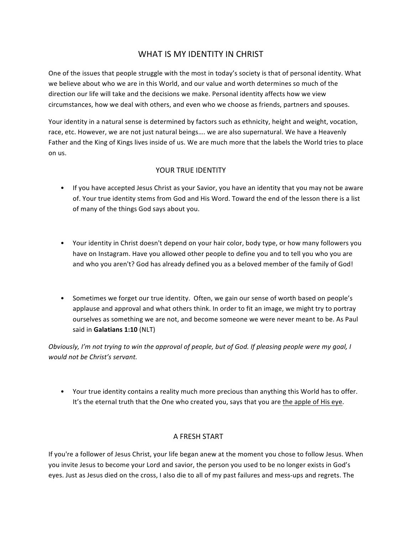# WHAT IS MY IDENTITY IN CHRIST

One of the issues that people struggle with the most in today's society is that of personal identity. What we believe about who we are in this World, and our value and worth determines so much of the direction our life will take and the decisions we make. Personal identity affects how we view circumstances, how we deal with others, and even who we choose as friends, partners and spouses.

Your identity in a natural sense is determined by factors such as ethnicity, height and weight, vocation, race, etc. However, we are not just natural beings.... we are also supernatural. We have a Heavenly Father and the King of Kings lives inside of us. We are much more that the labels the World tries to place on us.

## YOUR TRUE IDENTITY

- If you have accepted Jesus Christ as your Savior, you have an identity that you may not be aware of. Your true identity stems from God and His Word. Toward the end of the lesson there is a list of many of the things God says about you.
- Your identity in Christ doesn't depend on your hair color, body type, or how many followers you have on Instagram. Have you allowed other people to define you and to tell you who you are and who you aren't? God has already defined you as a beloved member of the family of God!
- Sometimes we forget our true identity. Often, we gain our sense of worth based on people's applause and approval and what others think. In order to fit an image, we might try to portray ourselves as something we are not, and become someone we were never meant to be. As Paul said in **Galatians 1:10** (NLT)

*Obviously, I'm not trying to win the approval of people, but of God. If pleasing people were my goal, I would not be Christ's servant.*

• Your true identity contains a reality much more precious than anything this World has to offer. It's the eternal truth that the One who created you, says that you are the apple of His eye.

## A FRESH START

If you're a follower of Jesus Christ, your life began anew at the moment you chose to follow Jesus. When you invite Jesus to become your Lord and savior, the person you used to be no longer exists in God's eyes. Just as Jesus died on the cross, I also die to all of my past failures and mess-ups and regrets. The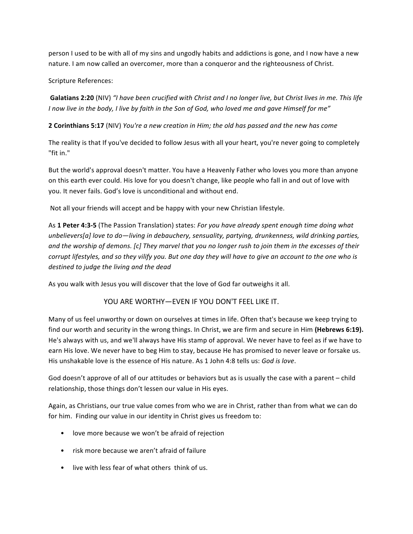person I used to be with all of my sins and ungodly habits and addictions is gone, and I now have a new nature. I am now called an overcomer, more than a conqueror and the righteousness of Christ.

Scripture References:

Galatians 2:20 (NIV) "*I* have been crucified with Christ and *I* no longer live, but Christ lives in me. This life *I* now live in the body, I live by faith in the Son of God, who loved me and gave Himself for me"

**2 Corinthians 5:17** (NIV) *You're a new creation in Him; the old has passed and the new has come* 

The reality is that If you've decided to follow Jesus with all your heart, you're never going to completely "fit in."

But the world's approval doesn't matter. You have a Heavenly Father who loves you more than anyone on this earth ever could. His love for you doesn't change, like people who fall in and out of love with you. It never fails. God's love is unconditional and without end.

Not all your friends will accept and be happy with your new Christian lifestyle.

As 1 Peter 4:3-5 (The Passion Translation) states: For you have already spent enough time doing what *unbelievers[a]* love to do—living in debauchery, sensuality, partying, drunkenness, wild drinking parties, and the worship of demons. [c] They marvel that you no longer rush to join them in the excesses of their *corrupt lifestyles, and so they vilify you. But one day they will have to give an account to the one who is* destined to judge the living and the dead

As you walk with Jesus you will discover that the love of God far outweighs it all.

## YOU ARE WORTHY-EVEN IF YOU DON'T FEEL LIKE IT.

Many of us feel unworthy or down on ourselves at times in life. Often that's because we keep trying to find our worth and security in the wrong things. In Christ, we are firm and secure in Him (Hebrews 6:19). He's always with us, and we'll always have His stamp of approval. We never have to feel as if we have to earn His love. We never have to beg Him to stay, because He has promised to never leave or forsake us. His unshakable love is the essence of His nature. As 1 John 4:8 tells us: *God is love*.

God doesn't approve of all of our attitudes or behaviors but as is usually the case with a parent – child relationship, those things don't lessen our value in His eyes.

Again, as Christians, our true value comes from who we are in Christ, rather than from what we can do for him. Finding our value in our identity in Christ gives us freedom to:

- love more because we won't be afraid of rejection
- risk more because we aren't afraid of failure
- live with less fear of what others think of us.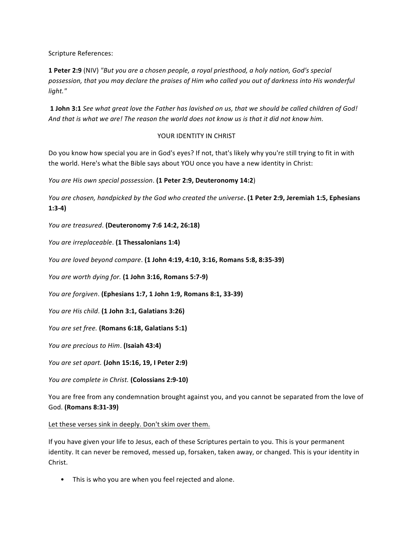Scripture References:

**1 Peter 2:9** (NIV) "But you are a chosen people, a royal priesthood, a holy nation, God's special possession, that you may declare the praises of Him who called you out of darkness into His wonderful *light."*

**1 John 3:1** See what great love the Father has lavished on us, that we should be called children of God! And that is what we are! The reason the world does not know us is that it did not know him.

## YOUR IDENTITY IN CHRIST

Do you know how special you are in God's eyes? If not, that's likely why you're still trying to fit in with the world. Here's what the Bible says about YOU once you have a new identity in Christ:

*You are His own special possession.* (1 Peter 2:9, Deuteronomy 14:2)

*You are chosen, handpicked by the God who created the universe*. (1 Peter 2:9, Jeremiah 1:5, Ephesians **1:3-4)**

*You are treasured*. **(Deuteronomy 7:6 14:2, 26:18)**

*You are irreplaceable*. (1 Thessalonians 1:4)

*You are loved beyond compare*. **(1 John 4:19, 4:10, 3:16, Romans 5:8, 8:35-39)**

*You are worth dying for.* **(1 John 3:16, Romans 5:7-9)** 

*You are forgiven*. **(Ephesians 1:7, 1 John 1:9, Romans 8:1, 33-39)**

You are His child. (1 John 3:1, Galatians 3:26)

*You are set free.* (Romans 6:18, Galatians 5:1)

*You are precious to Him.* (Isaiah 43:4)

*You are set apart.* **(John 15:16, 19, I Peter 2:9)**

*You are complete in Christ.* (Colossians 2:9-10)

You are free from any condemnation brought against you, and you cannot be separated from the love of God. **(Romans 8:31-39)**

Let these verses sink in deeply. Don't skim over them.

If you have given your life to Jesus, each of these Scriptures pertain to you. This is your permanent identity. It can never be removed, messed up, forsaken, taken away, or changed. This is your identity in Christ.

• This is who you are when you feel rejected and alone.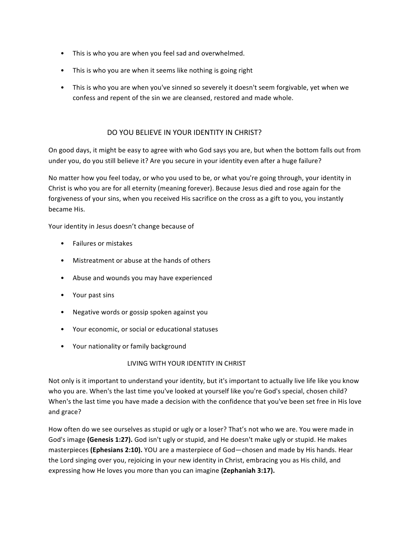- This is who you are when you feel sad and overwhelmed.
- This is who you are when it seems like nothing is going right
- This is who you are when you've sinned so severely it doesn't seem forgivable, yet when we confess and repent of the sin we are cleansed, restored and made whole.

## DO YOU BELIEVE IN YOUR IDENTITY IN CHRIST?

On good days, it might be easy to agree with who God says you are, but when the bottom falls out from under you, do you still believe it? Are you secure in your identity even after a huge failure?

No matter how you feel today, or who you used to be, or what you're going through, your identity in Christ is who you are for all eternity (meaning forever). Because Jesus died and rose again for the forgiveness of your sins, when you received His sacrifice on the cross as a gift to you, you instantly became His.

Your identity in Jesus doesn't change because of

- Failures or mistakes
- Mistreatment or abuse at the hands of others
- Abuse and wounds you may have experienced
- Your past sins
- Negative words or gossip spoken against you
- Your economic, or social or educational statuses
- Your nationality or family background

## LIVING WITH YOUR IDENTITY IN CHRIST

Not only is it important to understand your identity, but it's important to actually live life like you know who you are. When's the last time you've looked at yourself like you're God's special, chosen child? When's the last time you have made a decision with the confidence that you've been set free in His love and grace?

How often do we see ourselves as stupid or ugly or a loser? That's not who we are. You were made in God's image (Genesis 1:27). God isn't ugly or stupid, and He doesn't make ugly or stupid. He makes masterpieces (Ephesians 2:10). YOU are a masterpiece of God—chosen and made by His hands. Hear the Lord singing over you, rejoicing in your new identity in Christ, embracing you as His child, and expressing how He loves you more than you can imagine (**Zephaniah 3:17).**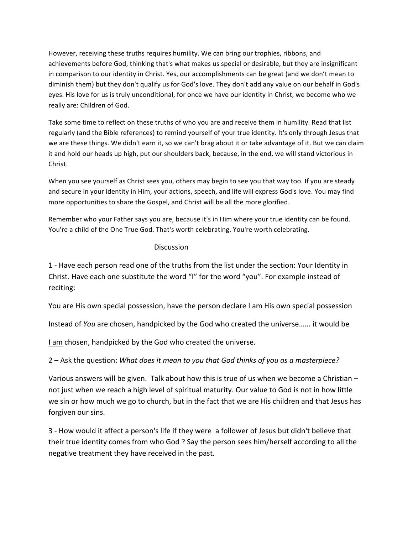However, receiving these truths requires humility. We can bring our trophies, ribbons, and achievements before God, thinking that's what makes us special or desirable, but they are insignificant in comparison to our identity in Christ. Yes, our accomplishments can be great (and we don't mean to diminish them) but they don't qualify us for God's love. They don't add any value on our behalf in God's eyes. His love for us is truly unconditional, for once we have our identity in Christ, we become who we really are: Children of God.

Take some time to reflect on these truths of who you are and receive them in humility. Read that list regularly (and the Bible references) to remind yourself of your true identity. It's only through Jesus that we are these things. We didn't earn it, so we can't brag about it or take advantage of it. But we can claim it and hold our heads up high, put our shoulders back, because, in the end, we will stand victorious in Christ.

When you see yourself as Christ sees you, others may begin to see you that way too. If you are steady and secure in your identity in Him, your actions, speech, and life will express God's love. You may find more opportunities to share the Gospel, and Christ will be all the more glorified.

Remember who your Father says you are, because it's in Him where your true identity can be found. You're a child of the One True God. That's worth celebrating. You're worth celebrating.

## Discussion

1 - Have each person read one of the truths from the list under the section: Your Identity in Christ. Have each one substitute the word "I" for the word "you". For example instead of reciting:

You are His own special possession, have the person declare I am His own special possession

Instead of *You* are chosen, handpicked by the God who created the universe...... it would be

I am chosen, handpicked by the God who created the universe.

2 – Ask the question: *What does it mean to you that God thinks of you as a masterpiece?* 

Various answers will be given. Talk about how this is true of us when we become a Christian  $$ not just when we reach a high level of spiritual maturity. Our value to God is not in how little we sin or how much we go to church, but in the fact that we are His children and that Jesus has forgiven our sins.

3 - How would it affect a person's life if they were a follower of Jesus but didn't believe that their true identity comes from who God ? Say the person sees him/herself according to all the negative treatment they have received in the past.